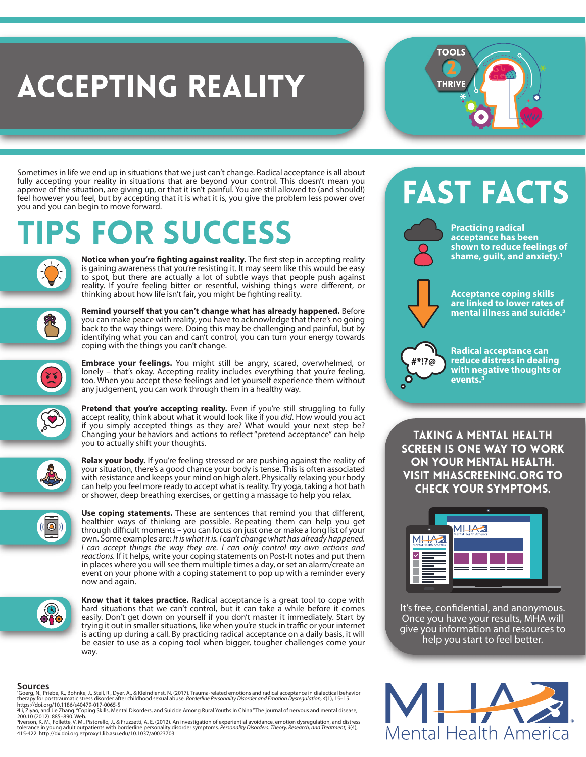## ACCEPTING REALITY

Sometimes in life we end up in situations that we just can't change. Radical acceptance is all about fully accepting your reality in situations that are beyond your control. This doesn't mean you approve of the situation, are giving up, or that it isn't painful. You are still allowed to (and should!) feel however you feel, but by accepting that it is what it is, you give the problem less power over you and you can begin to move forward.

## **IPS FOR SUCCESS**



**Notice when you're fighting against reality.** The first step in accepting reality is gaining awareness that you're resisting it. It may seem like this would be easy to spot, but there are actually a lot of subtle ways that people push against reality. If you're feeling bitter or resentful, wishing things were different, or thinking about how life isn't fair, you might be fighting reality.



**Remind yourself that you can't change what has already happened.** Before you can make peace with reality, you have to acknowledge that there's no going back to the way things were. Doing this may be challenging and painful, but by identifying what you can and can't control, you can turn your energy towards coping with the things you can't change.



**Embrace your feelings.** You might still be angry, scared, overwhelmed, or lonely – that's okay. Accepting reality includes everything that you're feeling, too. When you accept these feelings and let yourself experience them without any judgement, you can work through them in a healthy way.



Pretend that you're accepting reality. Even if you're still struggling to fully accept reality, think about what it would look like if you *did*. How would you act if you simply accepted things as they are? What would your next step be? Changing your behaviors and actions to reflect "pretend acceptance" can help you to actually shift your thoughts.



**Relax your body.** If you're feeling stressed or are pushing against the reality of your situation, there's a good chance your body is tense. This is often associated with resistance and keeps your mind on high alert. Physically relaxing your body can help you feel more ready to accept what is reality. Try yoga, taking a hot bath or shower, deep breathing exercises, or getting a massage to help you relax.



Use coping statements. These are sentences that remind you that different, healthier ways of thinking are possible. Repeating them can help you get through difficult moments – you can focus on just one or make a long list of your own. Some examples are: *It is what it is. I can't change what has already happened. I can accept things the way they are. I can only control my own actions and*  reactions. If it helps, write your coping statements on Post-It notes and put them in places where you will see them multiple times a day, or set an alarm/create an event on your phone with a coping statement to pop up with a reminder every now and again.



**Know that it takes practice.** Radical acceptance is a great tool to cope with hard situations that we can't control, but it can take a while before it comes easily. Don't get down on yourself if you don't master it immediately. Start by trying it out in smaller situations, like when you're stuck in traffic or your internet is acting up during a call. By practicing radical acceptance on a daily basis, it will be easier to use as a coping tool when bigger, tougher challenges come your way.

#### **Sources**

'Goerg, N., Priebe, K., Bohnke, J., Steil, R., Dyer, A., & Kleindienst, N. (2017). Trauma-related emotions and radical acceptance in dialectical behavior<br>therapy for posttraumatic stress disorder after childhood sexual abu

યાં, Ziyao, and Jie Zhang. "Coping Skills, Mental Disorders, and Suicide Among Rural Youths in China."The journal of nervous and mental disease,<br>200.10 (2012): 885–890. Web.<br>∛verson, K. M., Follette, V. M., Pistorello, J.

tolerance in young adult outpatients with borderline personality disorder symptoms. *Personality Disorders: Theory, Research, and Treatment, 3*(4), 415-422. http://dx.doi.org.ezproxy1.lib.asu.edu/10.1037/a0023703

### **FAST FACTS**



**TOOLS** 

**THRIVE** 

**Practicing radical acceptance has been shown to reduce feelings of shame, guilt, and anxiety.1**



**Acceptance coping skills are linked to lower rates of mental illness and suicide.2**



**Radical acceptance can reduce distress in dealing with negative thoughts or events.3**

Taking a mental health screen is one way to work on your mental health. Visit mhascreening.org to check your symptoms.



It's free, confidential, and anonymous. Once you have your results, MHA will give you information and resources to help you start to feel better.